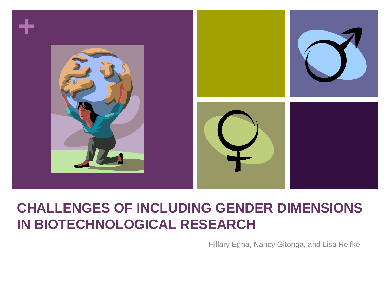

### **CHALLENGES OF INCLUDING GENDER DIMENSIONS IN BIOTECHNOLOGICAL RESEARCH**

Hillary Egna, Nancy Gitonga, and Lisa Reifke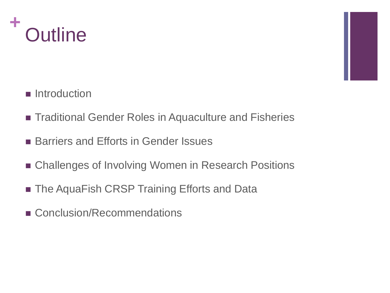

- **Introduction**
- Traditional Gender Roles in Aquaculture and Fisheries
- Barriers and Efforts in Gender Issues
- Challenges of Involving Women in Research Positions
- The AquaFish CRSP Training Efforts and Data
- Conclusion/Recommendations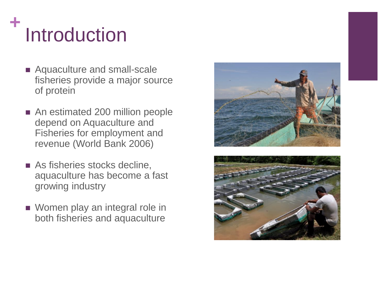# **<sup>+</sup>** Introduction

- Aquaculture and small-scale fisheries provide a major source of protein
- An estimated 200 million people depend on Aquaculture and Fisheries for employment and revenue (World Bank 2006)
- **As fisheries stocks decline,** aquaculture has become a fast growing industry
- Women play an integral role in both fisheries and aquaculture



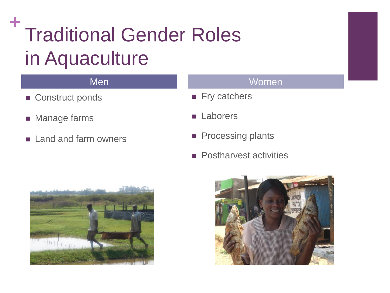## **<sup>+</sup>** Traditional Gender Roles in Aquaculture

- Construct ponds
- **Manage farms**
- **Land and farm owners**

#### Men Women

- Fry catchers
- **Laborers**
- **Processing plants**
- **Postharvest activities**



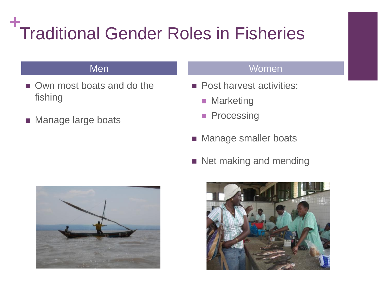#### **+** Traditional Gender Roles in Fisheries

- Own most boats and do the fishing
- **Manage large boats**

#### Men Women

- **Post harvest activities:** 
	- **Marketing**
	- **Processing**
- **Manage smaller boats**
- Net making and mending



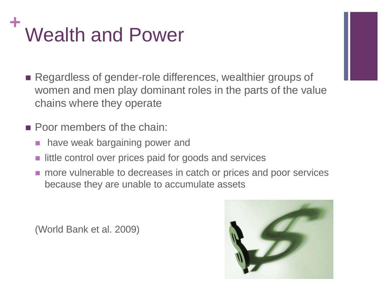

- Regardless of gender-role differences, wealthier groups of women and men play dominant roles in the parts of the value chains where they operate
- **Poor members of the chain:** 
	- **have weak bargaining power and**
	- little control over prices paid for goods and services
	- **n** more vulnerable to decreases in catch or prices and poor services because they are unable to accumulate assets

(World Bank et al. 2009)

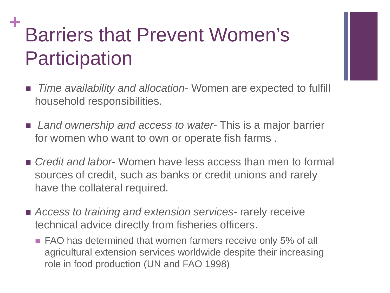### **Barriers that Prevent Women's Participation**

- *Time availability and allocation* Women are expected to fulfill household responsibilities.
- *Land ownership and access to water* This is a major barrier for women who want to own or operate fish farms .
- *Credit and labor* Women have less access than men to formal sources of credit, such as banks or credit unions and rarely have the collateral required.
- *Access to training and extension services-* rarely receive technical advice directly from fisheries officers.
	- **FAO** has determined that women farmers receive only 5% of all agricultural extension services worldwide despite their increasing role in food production (UN and FAO 1998)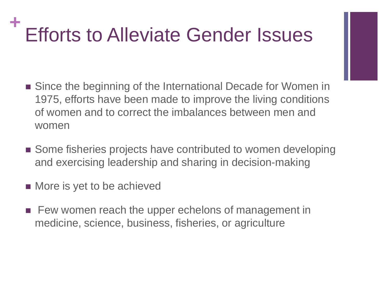## **Efforts to Alleviate Gender Issues**

- Since the beginning of the International Decade for Women in 1975, efforts have been made to improve the living conditions of women and to correct the imbalances between men and women
- Some fisheries projects have contributed to women developing and exercising leadership and sharing in decision-making
- **More is yet to be achieved**
- **Few women reach the upper echelons of management in** medicine, science, business, fisheries, or agriculture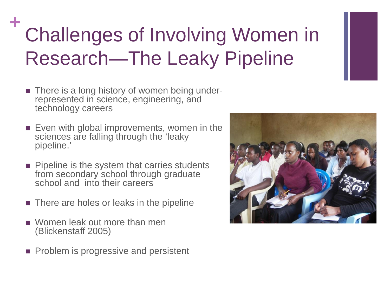### **Challenges of Involving Women in** Research—The Leaky Pipeline

- There is a long history of women being under-<br>represented in science, engineering, and technology careers
- **Even with global improvements, women in the** sciences are falling through the 'leaky pipeline.'
- **Pipeline is the system that carries students** from secondary school through graduate school and into their careers
- **There are holes or leaks in the pipeline**
- Women leak out more than men (Blickenstaff 2005)
- **Problem is progressive and persistent**

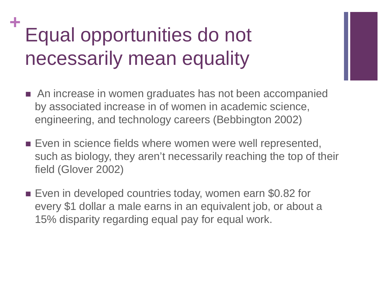### **<sup>+</sup>** Equal opportunities do not necessarily mean equality

- An increase in women graduates has not been accompanied by associated increase in of women in academic science, engineering, and technology careers (Bebbington 2002)
- **Even in science fields where women were well represented,** such as biology, they aren't necessarily reaching the top of their field (Glover 2002)
- Even in developed countries today, women earn \$0.82 for every \$1 dollar a male earns in an equivalent job, or about a 15% disparity regarding equal pay for equal work.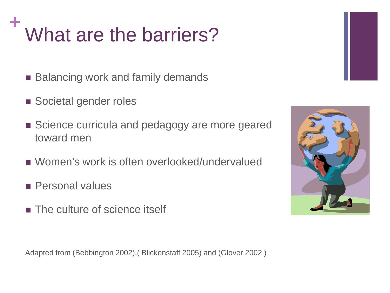# **<sup>+</sup>** What are the barriers?

- Balancing work and family demands
- Societal gender roles
- Science curricula and pedagogy are more geared toward men
- Women's work is often overlooked/undervalued
- **Personal values**
- **The culture of science itself**



Adapted from (Bebbington 2002),( Blickenstaff 2005) and (Glover 2002 )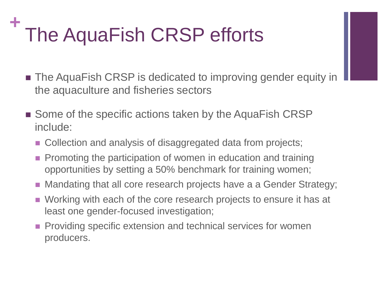## **<sup>+</sup>** The AquaFish CRSP efforts

- The AquaFish CRSP is dedicated to improving gender equity in the aquaculture and fisheries sectors
- Some of the specific actions taken by the AquaFish CRSP include:
	- Collection and analysis of disaggregated data from projects;
	- **Promoting the participation of women in education and training** opportunities by setting a 50% benchmark for training women;
	- Mandating that all core research projects have a a Gender Strategy;
	- Working with each of the core research projects to ensure it has at least one gender-focused investigation;
	- **Providing specific extension and technical services for women** producers.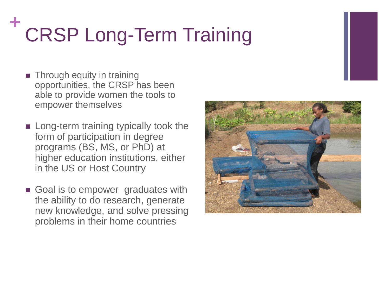# **<sup>+</sup>** CRSP Long-Term Training

- **Through equity in training** opportunities, the CRSP has been able to provide women the tools to empower themselves
- **Long-term training typically took the** form of participation in degree programs (BS, MS, or PhD) at higher education institutions, either in the US or Host Country
- Goal is to empower graduates with the ability to do research, generate new knowledge, and solve pressing problems in their home countries

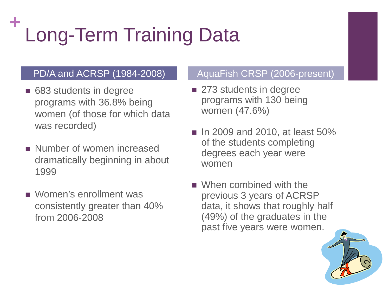# **<sup>+</sup>** Long-Term Training Data

- 683 students in degree programs with 36.8% being women (of those for which data was recorded)
- Number of women increased dramatically beginning in about 1999
- Women's enrollment was consistently greater than 40% from 2006-2008

#### PD/A and ACRSP (1984-2008) AquaFish CRSP (2006-present)

- 273 students in degree programs with 130 being women (47.6%)
- $\blacksquare$  In 2009 and 2010, at least 50% of the students completing degrees each year were women
- When combined with the previous 3 years of ACRSP data, it shows that roughly half (49%) of the graduates in the past five years were women.

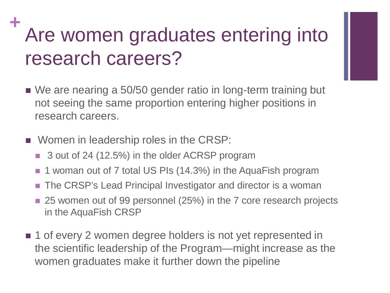### Are women graduates entering into research careers?

- We are nearing a 50/50 gender ratio in long-term training but not seeing the same proportion entering higher positions in research careers.
- **Nomen in leadership roles in the CRSP:** 
	- 3 out of 24 (12.5%) in the older ACRSP program
	- 1 woman out of 7 total US PIs (14.3%) in the AquaFish program
	- The CRSP's Lead Principal Investigator and director is a woman
	- 25 women out of 99 personnel (25%) in the 7 core research projects in the AquaFish CRSP
- **1** of every 2 women degree holders is not yet represented in the scientific leadership of the Program—might increase as the women graduates make it further down the pipeline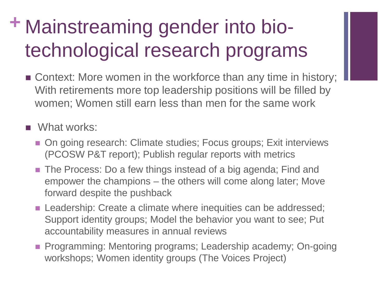### **+** Mainstreaming gender into biotechnological research programs

- Context: More women in the workforce than any time in history; With retirements more top leadership positions will be filled by women; Women still earn less than men for the same work
- **N**What works:
	- On going research: Climate studies; Focus groups; Exit interviews (PCOSW P&T report); Publish regular reports with metrics
	- The Process: Do a few things instead of a big agenda; Find and empower the champions – the others will come along later; Move forward despite the pushback
	- **Leadership: Create a climate where inequities can be addressed;** Support identity groups; Model the behavior you want to see; Put accountability measures in annual reviews
	- **Programming: Mentoring programs; Leadership academy; On-going** workshops; Women identity groups (The Voices Project)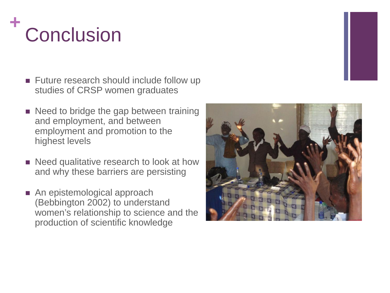# **<sup>+</sup>** Conclusion

- Future research should include follow up studies of CRSP women graduates
- Need to bridge the gap between training and employment, and between employment and promotion to the highest levels
- Need qualitative research to look at how and why these barriers are persisting
- An epistemological approach (Bebbington 2002) to understand women's relationship to science and the production of scientific knowledge

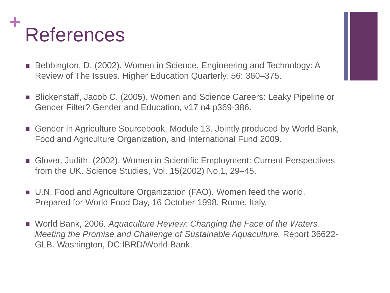

- Bebbington, D. (2002), Women in Science, Engineering and Technology: A Review of The Issues. Higher Education Quarterly, 56: 360–375.
- Blickenstaff, Jacob C. (2005). Women and Science Careers: Leaky Pipeline or Gender Filter? Gender and Education, v17 n4 p369-386.
- Gender in Agriculture Sourcebook, Module 13. Jointly produced by World Bank, Food and Agriculture Organization, and International Fund 2009.
- Glover, Judith. (2002). Women in Scientific Employment: Current Perspectives from the UK. Science Studies, Vol. 15(2002) No.1, 29–45.
- U.N. Food and Agriculture Organization (FAO). Women feed the world. Prepared for World Food Day, 16 October 1998. Rome, Italy.
- World Bank, 2006. *Aquaculture Review: Changing the Face of the Waters. Meeting the Promise and Challenge of Sustainable Aquaculture.* Report 36622- GLB. Washington, DC:IBRD/World Bank.